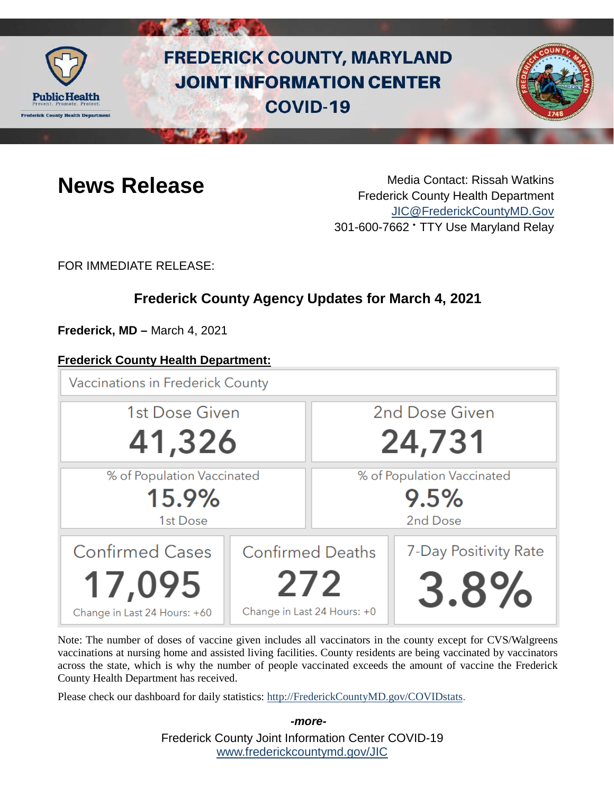

# **FREDERICK COUNTY, MARYLAND JOINT INFORMATION CENTER COVID-19**



**News Release** Media Contact: Rissah Watkins Frederick County Health Department [JIC@FrederickCountyMD.Gov](mailto:JIC@FrederickCountyMD.Gov) 301-600-7662 • TTY Use Maryland Relay

FOR IMMEDIATE RELEASE:

# **Frederick County Agency Updates for March 4, 2021**

**Frederick, MD –** March 4, 2021

### **Frederick County Health Department:**

**Vaccinations in Frederick County** 



Note: The number of doses of vaccine given includes all vaccinators in the county except for CVS/Walgreens vaccinations at nursing home and assisted living facilities. County residents are being vaccinated by vaccinators across the state, which is why the number of people vaccinated exceeds the amount of vaccine the Frederick County Health Department has received.

Please check our dashboard for daily statistics: [http://FrederickCountyMD.gov/COVIDstats.](http://frederickcountymd.gov/COVIDstats)

Frederick County Joint Information Center COVID-19 [www.frederickcountymd.gov/JIC](https://frederickcountymd.gov/JIC)

*-more-*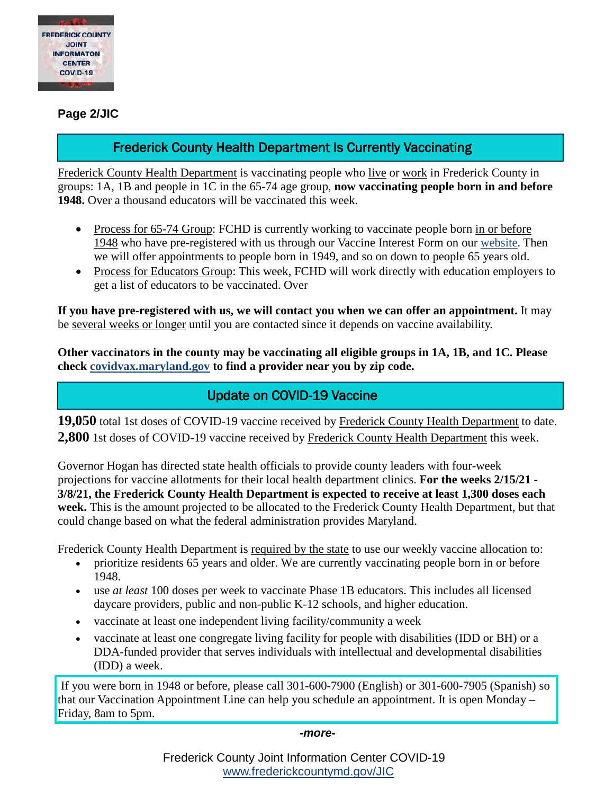

**Page 2/JIC**

# Frederick County Health Department Is Currently Vaccinating

Frederick County Health Department is vaccinating people who live or work in Frederick County in groups: 1A, 1B and people in 1C in the 65-74 age group, **now vaccinating people born in and before 1948.** Over a thousand educators will be vaccinated this week.

- Process for 65-74 Group: FCHD is currently working to vaccinate people born in or before 1948 who have pre-registered with us through our Vaccine Interest Form on our [website.](https://health.frederickcountymd.gov/629/COVID-19-Vaccine) Then we will offer appointments to people born in 1949, and so on down to people 65 years old.
- Process for Educators Group: This week, FCHD will work directly with education employers to get a list of educators to be vaccinated. Over

**If you have pre-registered with us, we will contact you when we can offer an appointment.** It may be several weeks or longer until you are contacted since it depends on vaccine availability.

**Other vaccinators in the county may be vaccinating all eligible groups in 1A, 1B, and 1C. Please check [covidvax.maryland.gov](https://coronavirus.maryland.gov/pages/vaccine) to find a provider near you by zip code.**

# Update on COVID-19 Vaccine

**19,050** total 1st doses of COVID-19 vaccine received by Frederick County Health Department to date. **2,800** 1st doses of COVID-19 vaccine received by Frederick County Health Department this week.

Governor Hogan has directed state health officials to provide county leaders with four-week projections for vaccine allotments for their local health department clinics. **For the weeks 2/15/21 - 3/8/21, the Frederick County Health Department is expected to receive at least 1,300 doses each week.** This is the amount projected to be allocated to the Frederick County Health Department, but that could change based on what the federal administration provides Maryland.

Frederick County Health Department is required by the state to use our weekly vaccine allocation to:

- prioritize residents 65 years and older. We are currently vaccinating people born in or before 1948.
- use *at least* 100 doses per week to vaccinate Phase 1B educators. This includes all licensed daycare providers, public and non-public K-12 schools, and higher education.
- vaccinate at least one independent living facility/community a week
- vaccinate at least one congregate living facility for people with disabilities (IDD or BH) or a DDA-funded provider that serves individuals with intellectual and developmental disabilities (IDD) a week.

If you were born in 1948 or before, please call 301-600-7900 (English) or 301-600-7905 (Spanish) so that our Vaccination Appointment Line can help you schedule an appointment. It is open Monday – Friday, 8am to 5pm.

*-more-*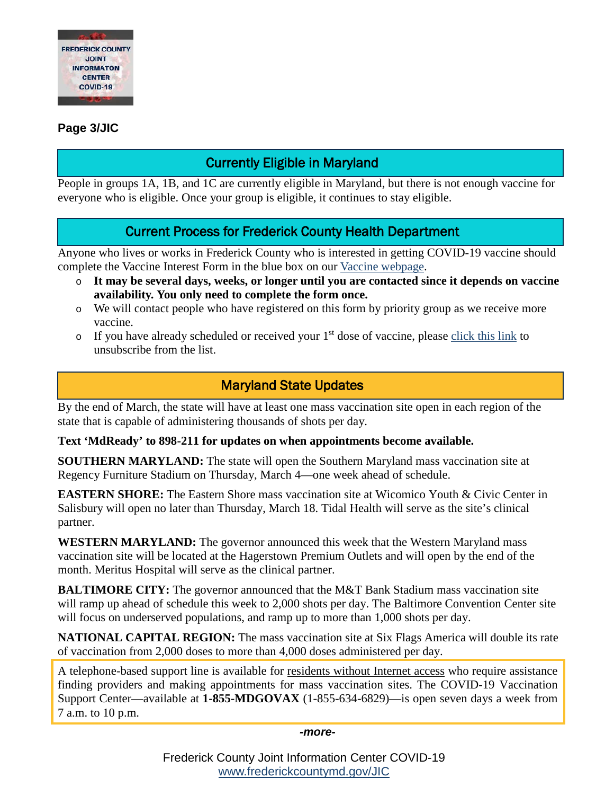

#### **Page 3/JIC**

# Currently Eligible in Maryland

People in groups 1A, 1B, and 1C are currently eligible in Maryland, but there is not enough vaccine for everyone who is eligible. Once your group is eligible, it continues to stay eligible.

### Current Process for Frederick County Health Department

Anyone who lives or works in Frederick County who is interested in getting COVID-19 vaccine should complete the Vaccine Interest Form in the blue box on our [Vaccine webpage.](https://health.frederickcountymd.gov/629/COVID-19-Vaccine)

- o **It may be several days, weeks, or longer until you are contacted since it depends on vaccine availability. You only need to complete the form once.**
- o We will contact people who have registered on this form by priority group as we receive more vaccine.
- $\circ$  If you have already scheduled or received your 1<sup>st</sup> dose of vaccine, please [click this link](https://forms.office.com/Pages/ResponsePage.aspx?id=LTTGSAY4Q0id7GpAsbuHNwWNYN1Yz5tBp0XTFg0s7vVUQzg2UFZYWVEzOThNVUtWRkpYSjNOUlBSUCQlQCN0PWcu) to unsubscribe from the list.

## Maryland State Updates

By the end of March, the state will have at least one mass vaccination site open in each region of the state that is capable of administering thousands of shots per day.

**Text 'MdReady' to 898-211 for updates on when appointments become available.**

**SOUTHERN MARYLAND:** The state will open the Southern Maryland mass vaccination site at Regency Furniture Stadium on Thursday, March 4—one week ahead of schedule.

**EASTERN SHORE:** The Eastern Shore mass vaccination site at Wicomico Youth & Civic Center in Salisbury will open no later than Thursday, March 18. Tidal Health will serve as the site's clinical partner.

**WESTERN MARYLAND:** The governor announced this week that the Western Maryland mass vaccination site will be located at the Hagerstown Premium Outlets and will open by the end of the month. Meritus Hospital will serve as the clinical partner.

**BALTIMORE CITY:** The governor announced that the M&T Bank Stadium mass vaccination site will ramp up ahead of schedule this week to 2,000 shots per day. The Baltimore Convention Center site will focus on underserved populations, and ramp up to more than 1,000 shots per day.

**NATIONAL CAPITAL REGION:** The mass vaccination site at Six Flags America will double its rate of vaccination from 2,000 doses to more than 4,000 doses administered per day.

A telephone-based support line is available for residents without Internet access who require assistance finding providers and making appointments for mass vaccination sites. The COVID-19 Vaccination Support Center—available at **1-855-MDGOVAX** (1-855-634-6829)—is open seven days a week from 7 a.m. to 10 p.m.

*-more-*